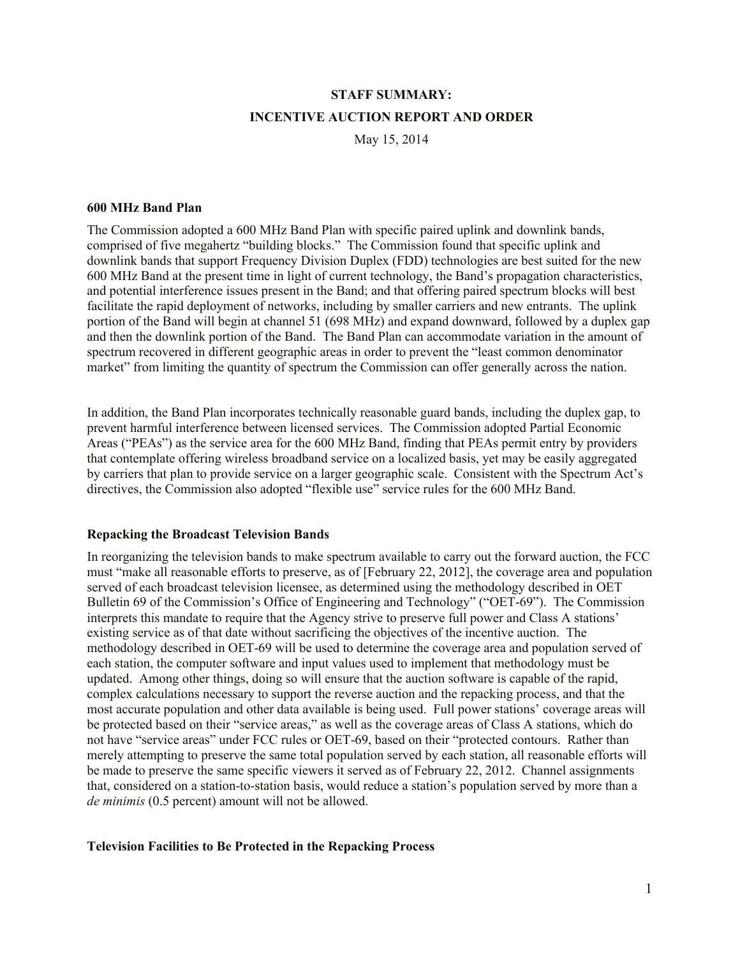# **STAFF SUMMARY: INCENTIVE AUCTION REPORT AND ORDER**

May 15, 2014

#### **600 MHz Band Plan**

The Commission adopted a 600 MHz Band Plan with specific paired uplink and downlink bands, comprised of five megahertz "building blocks." The Commission found that specific uplink and downlink bands that support Frequency Division Duplex (FDD) technologies are best suited for the new 600 MHz Band at the present time in light of current technology, the Band's propagation characteristics, and potential interference issues present in the Band; and that offering paired spectrum blocks will best facilitate the rapid deployment of networks, including by smaller carriers and new entrants. The uplink portion of the Band will begin at channel 51 (698 MHz) and expand downward, followed by a duplex gap and then the downlink portion of the Band. The Band Plan can accommodate variation in the amount of spectrum recovered in different geographic areas in order to prevent the "least common denominator market" from limiting the quantity of spectrum the Commission can offer generally across the nation.

In addition, the Band Plan incorporates technically reasonable guard bands, including the duplex gap, to prevent harmful interference between licensed services. The Commission adopted Partial Economic Areas ("PEAs") as the service area for the 600 MHz Band, finding that PEAs permit entry by providers that contemplate offering wireless broadband service on a localized basis, yet may be easily aggregated by carriers that plan to provide service on a larger geographic scale. Consistent with the Spectrum Act's directives, the Commission also adopted "flexible use" service rules for the 600 MHz Band.

#### **Repacking the Broadcast Television Bands**

In reorganizing the television bands to make spectrum available to carry out the forward auction, the FCC must "make all reasonable efforts to preserve, as of [February 22, 2012], the coverage area and population served of each broadcast television licensee, as determined using the methodology described in OET Bulletin 69 of the Commission's Office of Engineering and Technology" ("OET-69"). The Commission interprets this mandate to require that the Agency strive to preserve full power and Class A stations' existing service as of that date without sacrificing the objectives of the incentive auction. The methodology described in OET-69 will be used to determine the coverage area and population served of each station, the computer software and input values used to implement that methodology must be updated. Among other things, doing so will ensure that the auction software is capable of the rapid, complex calculations necessary to support the reverse auction and the repacking process, and that the most accurate population and other data available is being used. Full power stations' coverage areas will be protected based on their "service areas," as well as the coverage areas of Class A stations, which do not have "service areas" under FCC rules or OET-69, based on their "protected contours. Rather than merely attempting to preserve the same total population served by each station, all reasonable efforts will be made to preserve the same specific viewers it served as of February 22, 2012. Channel assignments that, considered on a station-to-station basis, would reduce a station's population served by more than a *de minimis* (0.5 percent) amount will not be allowed.

#### **Television Facilities to Be Protected in the Repacking Process**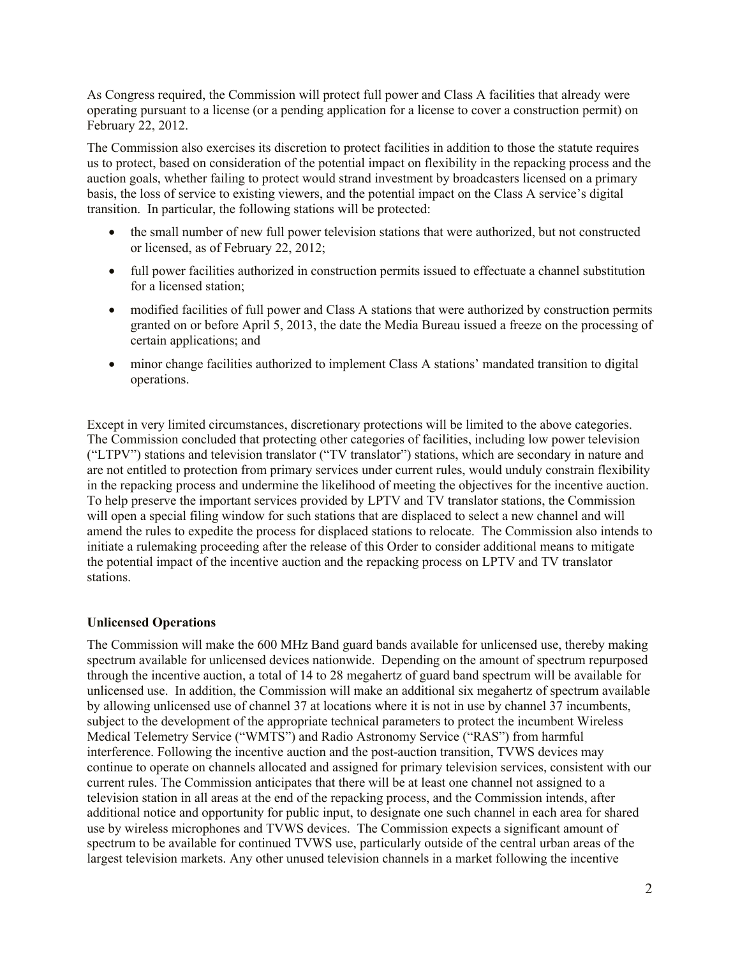As Congress required, the Commission will protect full power and Class A facilities that already were operating pursuant to a license (or a pending application for a license to cover a construction permit) on February 22, 2012.

The Commission also exercises its discretion to protect facilities in addition to those the statute requires us to protect, based on consideration of the potential impact on flexibility in the repacking process and the auction goals, whether failing to protect would strand investment by broadcasters licensed on a primary basis, the loss of service to existing viewers, and the potential impact on the Class A service's digital transition. In particular, the following stations will be protected:

- the small number of new full power television stations that were authorized, but not constructed or licensed, as of February 22, 2012;
- full power facilities authorized in construction permits issued to effectuate a channel substitution for a licensed station;
- modified facilities of full power and Class A stations that were authorized by construction permits granted on or before April 5, 2013, the date the Media Bureau issued a freeze on the processing of certain applications; and
- minor change facilities authorized to implement Class A stations' mandated transition to digital operations.

Except in very limited circumstances, discretionary protections will be limited to the above categories. The Commission concluded that protecting other categories of facilities, including low power television ("LTPV") stations and television translator ("TV translator") stations, which are secondary in nature and are not entitled to protection from primary services under current rules, would unduly constrain flexibility in the repacking process and undermine the likelihood of meeting the objectives for the incentive auction. To help preserve the important services provided by LPTV and TV translator stations, the Commission will open a special filing window for such stations that are displaced to select a new channel and will amend the rules to expedite the process for displaced stations to relocate. The Commission also intends to initiate a rulemaking proceeding after the release of this Order to consider additional means to mitigate the potential impact of the incentive auction and the repacking process on LPTV and TV translator stations.

# **Unlicensed Operations**

The Commission will make the 600 MHz Band guard bands available for unlicensed use, thereby making spectrum available for unlicensed devices nationwide. Depending on the amount of spectrum repurposed through the incentive auction, a total of 14 to 28 megahertz of guard band spectrum will be available for unlicensed use. In addition, the Commission will make an additional six megahertz of spectrum available by allowing unlicensed use of channel 37 at locations where it is not in use by channel 37 incumbents, subject to the development of the appropriate technical parameters to protect the incumbent Wireless Medical Telemetry Service ("WMTS") and Radio Astronomy Service ("RAS") from harmful interference. Following the incentive auction and the post-auction transition, TVWS devices may continue to operate on channels allocated and assigned for primary television services, consistent with our current rules. The Commission anticipates that there will be at least one channel not assigned to a television station in all areas at the end of the repacking process, and the Commission intends, after additional notice and opportunity for public input, to designate one such channel in each area for shared use by wireless microphones and TVWS devices. The Commission expects a significant amount of spectrum to be available for continued TVWS use, particularly outside of the central urban areas of the largest television markets. Any other unused television channels in a market following the incentive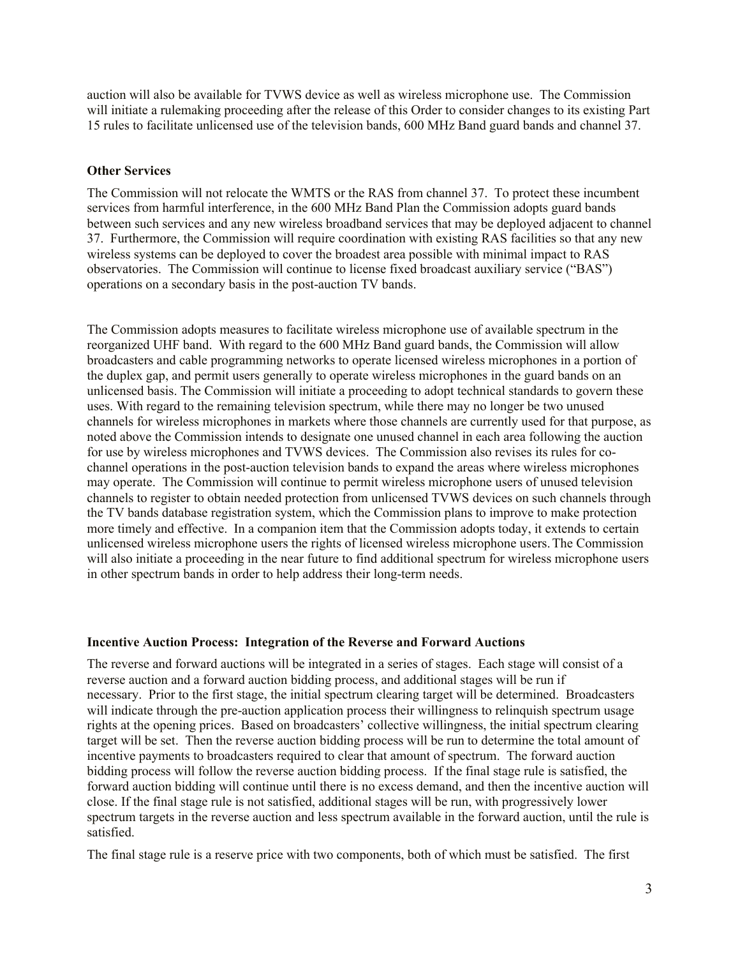auction will also be available for TVWS device as well as wireless microphone use. The Commission will initiate a rulemaking proceeding after the release of this Order to consider changes to its existing Part 15 rules to facilitate unlicensed use of the television bands, 600 MHz Band guard bands and channel 37.

#### **Other Services**

The Commission will not relocate the WMTS or the RAS from channel 37. To protect these incumbent services from harmful interference, in the 600 MHz Band Plan the Commission adopts guard bands between such services and any new wireless broadband services that may be deployed adjacent to channel 37. Furthermore, the Commission will require coordination with existing RAS facilities so that any new wireless systems can be deployed to cover the broadest area possible with minimal impact to RAS observatories. The Commission will continue to license fixed broadcast auxiliary service ("BAS") operations on a secondary basis in the post-auction TV bands.

The Commission adopts measures to facilitate wireless microphone use of available spectrum in the reorganized UHF band. With regard to the 600 MHz Band guard bands, the Commission will allow broadcasters and cable programming networks to operate licensed wireless microphones in a portion of the duplex gap, and permit users generally to operate wireless microphones in the guard bands on an unlicensed basis. The Commission will initiate a proceeding to adopt technical standards to govern these uses. With regard to the remaining television spectrum, while there may no longer be two unused channels for wireless microphones in markets where those channels are currently used for that purpose, as noted above the Commission intends to designate one unused channel in each area following the auction for use by wireless microphones and TVWS devices. The Commission also revises its rules for cochannel operations in the post-auction television bands to expand the areas where wireless microphones may operate. The Commission will continue to permit wireless microphone users of unused television channels to register to obtain needed protection from unlicensed TVWS devices on such channels through the TV bands database registration system, which the Commission plans to improve to make protection more timely and effective. In a companion item that the Commission adopts today, it extends to certain unlicensed wireless microphone users the rights of licensed wireless microphone users.The Commission will also initiate a proceeding in the near future to find additional spectrum for wireless microphone users in other spectrum bands in order to help address their long-term needs.

#### **Incentive Auction Process: Integration of the Reverse and Forward Auctions**

The reverse and forward auctions will be integrated in a series of stages. Each stage will consist of a reverse auction and a forward auction bidding process, and additional stages will be run if necessary. Prior to the first stage, the initial spectrum clearing target will be determined. Broadcasters will indicate through the pre-auction application process their willingness to relinquish spectrum usage rights at the opening prices. Based on broadcasters' collective willingness, the initial spectrum clearing target will be set. Then the reverse auction bidding process will be run to determine the total amount of incentive payments to broadcasters required to clear that amount of spectrum. The forward auction bidding process will follow the reverse auction bidding process. If the final stage rule is satisfied, the forward auction bidding will continue until there is no excess demand, and then the incentive auction will close. If the final stage rule is not satisfied, additional stages will be run, with progressively lower spectrum targets in the reverse auction and less spectrum available in the forward auction, until the rule is satisfied.

The final stage rule is a reserve price with two components, both of which must be satisfied. The first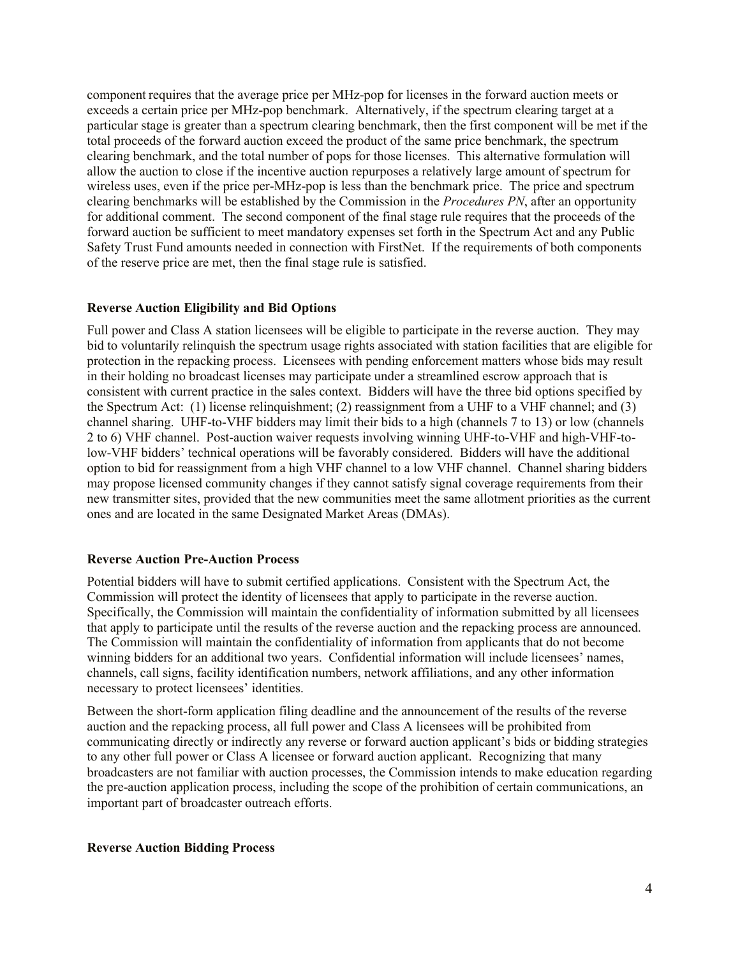component requires that the average price per MHz-pop for licenses in the forward auction meets or exceeds a certain price per MHz-pop benchmark. Alternatively, if the spectrum clearing target at a particular stage is greater than a spectrum clearing benchmark, then the first component will be met if the total proceeds of the forward auction exceed the product of the same price benchmark, the spectrum clearing benchmark, and the total number of pops for those licenses. This alternative formulation will allow the auction to close if the incentive auction repurposes a relatively large amount of spectrum for wireless uses, even if the price per-MHz-pop is less than the benchmark price. The price and spectrum clearing benchmarks will be established by the Commission in the *Procedures PN*, after an opportunity for additional comment. The second component of the final stage rule requires that the proceeds of the forward auction be sufficient to meet mandatory expenses set forth in the Spectrum Act and any Public Safety Trust Fund amounts needed in connection with FirstNet. If the requirements of both components of the reserve price are met, then the final stage rule is satisfied.

# **Reverse Auction Eligibility and Bid Options**

Full power and Class A station licensees will be eligible to participate in the reverse auction. They may bid to voluntarily relinquish the spectrum usage rights associated with station facilities that are eligible for protection in the repacking process. Licensees with pending enforcement matters whose bids may result in their holding no broadcast licenses may participate under a streamlined escrow approach that is consistent with current practice in the sales context. Bidders will have the three bid options specified by the Spectrum Act: (1) license relinquishment; (2) reassignment from a UHF to a VHF channel; and (3) channel sharing. UHF-to-VHF bidders may limit their bids to a high (channels 7 to 13) or low (channels 2 to 6) VHF channel. Post-auction waiver requests involving winning UHF-to-VHF and high-VHF-tolow-VHF bidders' technical operations will be favorably considered. Bidders will have the additional option to bid for reassignment from a high VHF channel to a low VHF channel. Channel sharing bidders may propose licensed community changes if they cannot satisfy signal coverage requirements from their new transmitter sites, provided that the new communities meet the same allotment priorities as the current ones and are located in the same Designated Market Areas (DMAs).

# **Reverse Auction Pre-Auction Process**

Potential bidders will have to submit certified applications. Consistent with the Spectrum Act, the Commission will protect the identity of licensees that apply to participate in the reverse auction. Specifically, the Commission will maintain the confidentiality of information submitted by all licensees that apply to participate until the results of the reverse auction and the repacking process are announced. The Commission will maintain the confidentiality of information from applicants that do not become winning bidders for an additional two years. Confidential information will include licensees' names, channels, call signs, facility identification numbers, network affiliations, and any other information necessary to protect licensees' identities.

Between the short-form application filing deadline and the announcement of the results of the reverse auction and the repacking process, all full power and Class A licensees will be prohibited from communicating directly or indirectly any reverse or forward auction applicant's bids or bidding strategies to any other full power or Class A licensee or forward auction applicant. Recognizing that many broadcasters are not familiar with auction processes, the Commission intends to make education regarding the pre-auction application process, including the scope of the prohibition of certain communications, an important part of broadcaster outreach efforts.

# **Reverse Auction Bidding Process**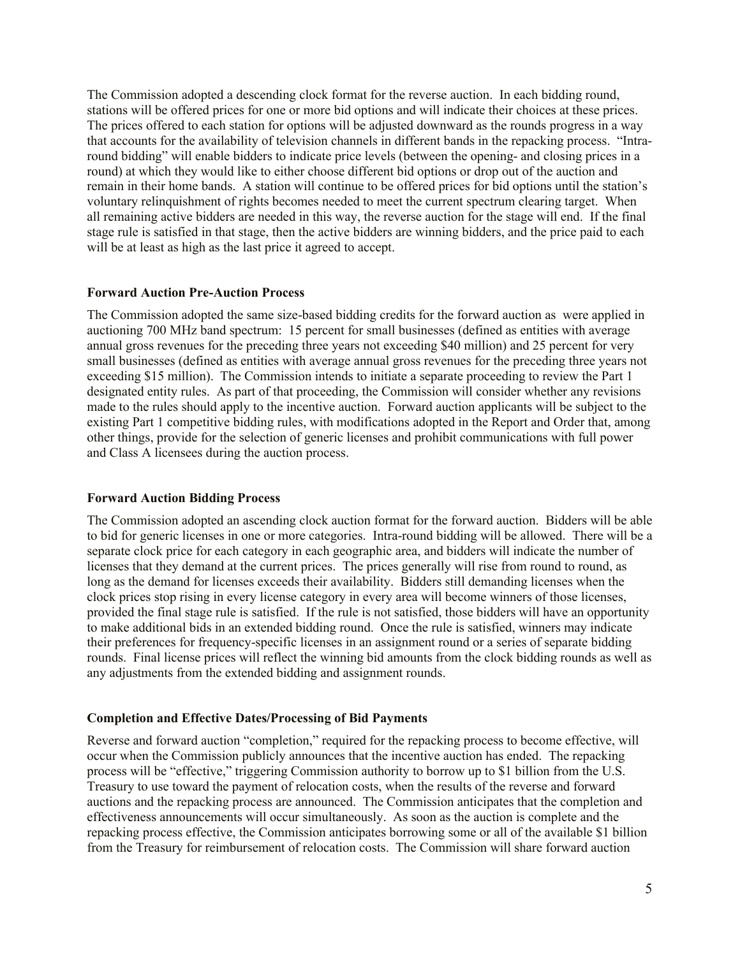The Commission adopted a descending clock format for the reverse auction. In each bidding round, stations will be offered prices for one or more bid options and will indicate their choices at these prices. The prices offered to each station for options will be adjusted downward as the rounds progress in a way that accounts for the availability of television channels in different bands in the repacking process. "Intraround bidding" will enable bidders to indicate price levels (between the opening- and closing prices in a round) at which they would like to either choose different bid options or drop out of the auction and remain in their home bands. A station will continue to be offered prices for bid options until the station's voluntary relinquishment of rights becomes needed to meet the current spectrum clearing target. When all remaining active bidders are needed in this way, the reverse auction for the stage will end. If the final stage rule is satisfied in that stage, then the active bidders are winning bidders, and the price paid to each will be at least as high as the last price it agreed to accept.

# **Forward Auction Pre-Auction Process**

The Commission adopted the same size-based bidding credits for the forward auction as were applied in auctioning 700 MHz band spectrum: 15 percent for small businesses (defined as entities with average annual gross revenues for the preceding three years not exceeding \$40 million) and 25 percent for very small businesses (defined as entities with average annual gross revenues for the preceding three years not exceeding \$15 million). The Commission intends to initiate a separate proceeding to review the Part 1 designated entity rules. As part of that proceeding, the Commission will consider whether any revisions made to the rules should apply to the incentive auction. Forward auction applicants will be subject to the existing Part 1 competitive bidding rules, with modifications adopted in the Report and Order that, among other things, provide for the selection of generic licenses and prohibit communications with full power and Class A licensees during the auction process.

# **Forward Auction Bidding Process**

The Commission adopted an ascending clock auction format for the forward auction. Bidders will be able to bid for generic licenses in one or more categories. Intra-round bidding will be allowed. There will be a separate clock price for each category in each geographic area, and bidders will indicate the number of licenses that they demand at the current prices. The prices generally will rise from round to round, as long as the demand for licenses exceeds their availability. Bidders still demanding licenses when the clock prices stop rising in every license category in every area will become winners of those licenses, provided the final stage rule is satisfied. If the rule is not satisfied, those bidders will have an opportunity to make additional bids in an extended bidding round. Once the rule is satisfied, winners may indicate their preferences for frequency-specific licenses in an assignment round or a series of separate bidding rounds. Final license prices will reflect the winning bid amounts from the clock bidding rounds as well as any adjustments from the extended bidding and assignment rounds.

# **Completion and Effective Dates/Processing of Bid Payments**

Reverse and forward auction "completion," required for the repacking process to become effective, will occur when the Commission publicly announces that the incentive auction has ended. The repacking process will be "effective," triggering Commission authority to borrow up to \$1 billion from the U.S. Treasury to use toward the payment of relocation costs, when the results of the reverse and forward auctions and the repacking process are announced. The Commission anticipates that the completion and effectiveness announcements will occur simultaneously. As soon as the auction is complete and the repacking process effective, the Commission anticipates borrowing some or all of the available \$1 billion from the Treasury for reimbursement of relocation costs. The Commission will share forward auction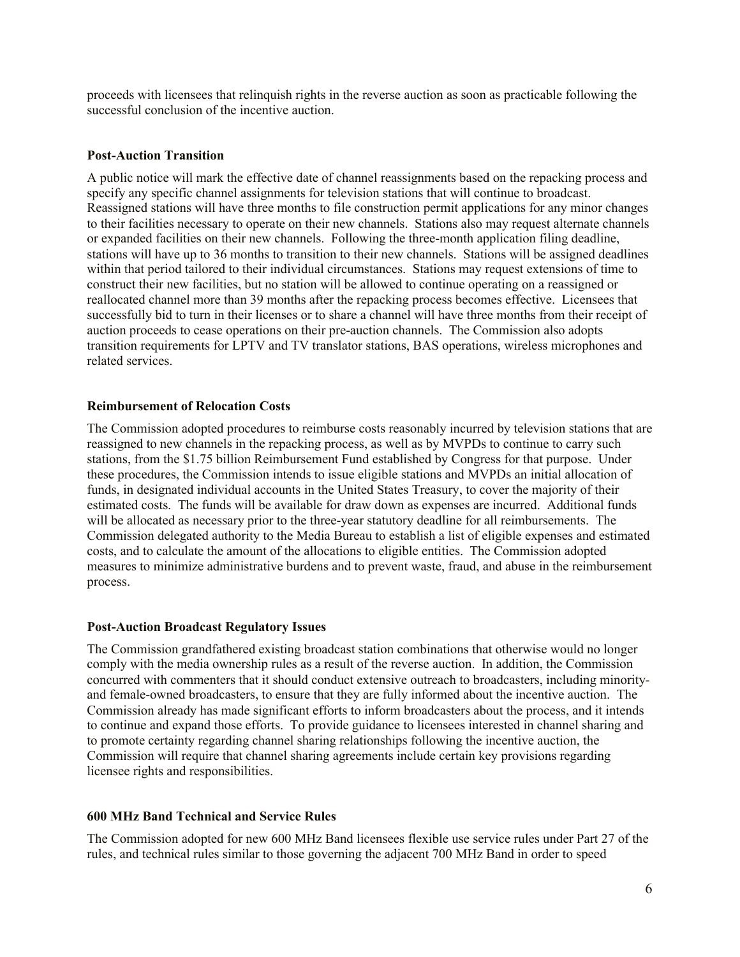proceeds with licensees that relinquish rights in the reverse auction as soon as practicable following the successful conclusion of the incentive auction.

#### **Post-Auction Transition**

A public notice will mark the effective date of channel reassignments based on the repacking process and specify any specific channel assignments for television stations that will continue to broadcast. Reassigned stations will have three months to file construction permit applications for any minor changes to their facilities necessary to operate on their new channels. Stations also may request alternate channels or expanded facilities on their new channels. Following the three-month application filing deadline, stations will have up to 36 months to transition to their new channels. Stations will be assigned deadlines within that period tailored to their individual circumstances. Stations may request extensions of time to construct their new facilities, but no station will be allowed to continue operating on a reassigned or reallocated channel more than 39 months after the repacking process becomes effective. Licensees that successfully bid to turn in their licenses or to share a channel will have three months from their receipt of auction proceeds to cease operations on their pre-auction channels. The Commission also adopts transition requirements for LPTV and TV translator stations, BAS operations, wireless microphones and related services.

#### **Reimbursement of Relocation Costs**

The Commission adopted procedures to reimburse costs reasonably incurred by television stations that are reassigned to new channels in the repacking process, as well as by MVPDs to continue to carry such stations, from the \$1.75 billion Reimbursement Fund established by Congress for that purpose. Under these procedures, the Commission intends to issue eligible stations and MVPDs an initial allocation of funds, in designated individual accounts in the United States Treasury, to cover the majority of their estimated costs. The funds will be available for draw down as expenses are incurred. Additional funds will be allocated as necessary prior to the three-year statutory deadline for all reimbursements. The Commission delegated authority to the Media Bureau to establish a list of eligible expenses and estimated costs, and to calculate the amount of the allocations to eligible entities. The Commission adopted measures to minimize administrative burdens and to prevent waste, fraud, and abuse in the reimbursement process.

#### **Post-Auction Broadcast Regulatory Issues**

The Commission grandfathered existing broadcast station combinations that otherwise would no longer comply with the media ownership rules as a result of the reverse auction. In addition, the Commission concurred with commenters that it should conduct extensive outreach to broadcasters, including minorityand female-owned broadcasters, to ensure that they are fully informed about the incentive auction. The Commission already has made significant efforts to inform broadcasters about the process, and it intends to continue and expand those efforts. To provide guidance to licensees interested in channel sharing and to promote certainty regarding channel sharing relationships following the incentive auction, the Commission will require that channel sharing agreements include certain key provisions regarding licensee rights and responsibilities.

# **600 MHz Band Technical and Service Rules**

The Commission adopted for new 600 MHz Band licensees flexible use service rules under Part 27 of the rules, and technical rules similar to those governing the adjacent 700 MHz Band in order to speed